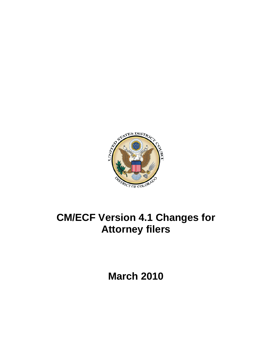

# **CM/ECF Version 4.1 Changes for Attorney filers**

**March 2010**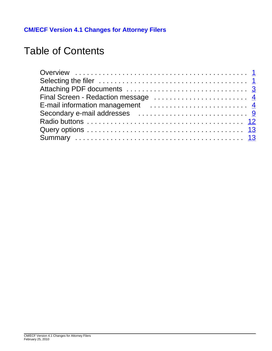**CM/ECF Version 4.1 Changes for Attorney Filers**

## Table of Contents

| Final Screen - Redaction message  4 |
|-------------------------------------|
|                                     |
|                                     |
|                                     |
|                                     |
|                                     |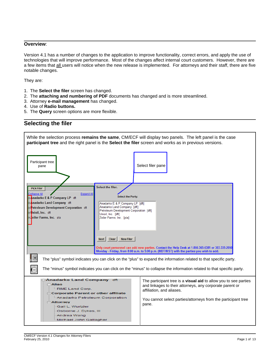#### **Overview**:

Version 4.1 has a number of changes to the application to improve functionality, correct errors, and apply the use of technologies that will improve performance. Most of the changes affect internal court customers. However, there are a few items that all users will notice when the new release is implemented. For attorneys and their staff, there are five notable changes.

They are:

- 1. The **Select the filer** screen has changed.
- 2. The **attaching and numbering of PDF** documents has changed and is more streamlined.
- 3. Attorney **e-mail management** has changed.
- 4. Use of **Radio buttons.**
- 5. The **Query** screen options are more flexible.



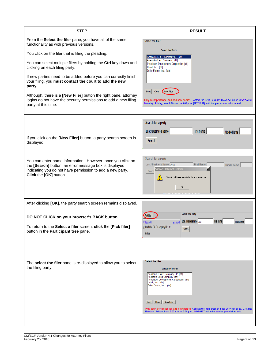| <b>STEP</b>                                                                                                                                                                                                                                                                                                                                                                                                                                                                                                                                                           | <b>RESULT</b>                                                                                                                                                                                                                                                                                                                                                                                                                                             |
|-----------------------------------------------------------------------------------------------------------------------------------------------------------------------------------------------------------------------------------------------------------------------------------------------------------------------------------------------------------------------------------------------------------------------------------------------------------------------------------------------------------------------------------------------------------------------|-----------------------------------------------------------------------------------------------------------------------------------------------------------------------------------------------------------------------------------------------------------------------------------------------------------------------------------------------------------------------------------------------------------------------------------------------------------|
| From the Select the filer pane, you have all of the same<br>functionality as with previous versions.<br>You click on the filer that is filing the pleading.<br>You can select multiple filers by holding the Ctrl key down and<br>clicking on each filing party.<br>If new parties need to be added before you can correctly finish<br>your filing, you must contact the court to add the new<br>party.<br>Although, there is a [New Filer] button the right pane, attorney<br>logins do not have the security permissions to add a new filing<br>party at this time. | Select the filer.<br><b>Select the Party:</b><br>Anadarko E & P Company LP [dft]<br>Anadarko Land Company [dft]<br>Petroleum Development Corporation [dft]<br>Unioil, Inc. [dft]<br>Zeiler Farms, Inc. [pla]<br>Clear  <br>New Filer<br>Next<br>Only court personnel can add new parties. Contact the Help Desk at 1-866-365-6381 or 303-335-2050<br>Monday - Friday, from 8:00 a.m. to 5:00 p.m. (MDT/MST) with the parties you wish to add.             |
| If you click on the [New Filer] button, a party search screen is<br>displayed.<br>You can enter name information. However, once you click on<br>the [Search] button, an error message box is displayed<br>indicating you do not have permission to add a new party.<br>Click the [OK] button.                                                                                                                                                                                                                                                                         | Search for a party<br>Last / Business Name<br><b>First Name</b><br><b>Middle Name</b><br>Search<br>Search for a party<br>Last / Business Name Ana<br><b>First Name</b><br>Middle Name<br>$\vert x \vert$<br>Windows Internet Explorer<br>Searcl<br>You do not have permission to add a new party<br>OK                                                                                                                                                    |
| After clicking [OK], the party search screen remains displayed.<br>DO NOT CLICK on your browser's BACK button.<br>To return to the Select a filer screen, click the [Pick filer]<br>button in the Participant tree pane.                                                                                                                                                                                                                                                                                                                                              | Search for a party<br><b>Pick Filer</b><br>Last / Business Name   Ana<br><b>First Name</b><br><b>Middle Name</b><br><b>Expand All</b><br>ıllanse All<br>-Anadarko E & P Company LP dft<br>Search<br><b>Exations</b>                                                                                                                                                                                                                                       |
| The select the filer pane is re-displayed to allow you to select<br>the filing party.                                                                                                                                                                                                                                                                                                                                                                                                                                                                                 | Select the filer.<br><b>Select the Party:</b><br>Anadarko E & P Company LP [dft]<br>Anadarko Land Company [dft]<br>Petroleum Development Corporation [dft]<br>Unioil, Inc. [dft]<br>Zeiler Farms, Inc. [pla]<br>Clear<br><b>New Filer</b><br><b>Next</b><br>Only court personnel can add new parties. Contact the Help Desk at 1-866-365-6381 or 303-335-2050<br>Monday - Friday, from 8:00 a.m. to 5:00 p.m. (MDT/MST) with the parties you wish to add. |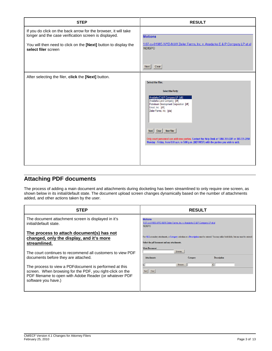| <b>STEP</b>                                                                                                                                                                                 | <b>RESULT</b>                                                                                                                                                                                                                                                                                                                                                                                                                                             |
|---------------------------------------------------------------------------------------------------------------------------------------------------------------------------------------------|-----------------------------------------------------------------------------------------------------------------------------------------------------------------------------------------------------------------------------------------------------------------------------------------------------------------------------------------------------------------------------------------------------------------------------------------------------------|
| If you do click on the back arrow for the browser, it will take<br>longer and the case verification screen is displayed.<br>You will then need to click on the [Next] button to display the | <b>Motions</b><br>1:07-cv-01985-WYD-MJW Zeiler Farms, Inc. v. Anadarko E & P Company LP et al                                                                                                                                                                                                                                                                                                                                                             |
| select filer screen                                                                                                                                                                         | <b>NDISPO</b><br>Clear<br>Next                                                                                                                                                                                                                                                                                                                                                                                                                            |
| After selecting the filer, click the [Next] button.                                                                                                                                         | Select the filer.<br><b>Select the Party:</b><br>Anadarko E & P Company LP [dft]<br>Anadarko Land Company [dft]<br>Petroleum Development Corporation [dft]<br>Unioil, Inc. [dft]<br>Zeiler Farms, Inc. [pla]<br>Clear<br><b>New Filer</b><br><b>Next</b><br>Only court personnel can add new parties. Contact the Help Desk at 1-866-365-6381 or 303-335-2050<br>Monday - Friday, from 8:00 a.m. to 5:00 p.m. (MDT/MST) with the parties you wish to add. |

## **Attaching PDF documents**

The process of adding a main document and attachments during docketing has been streamlined to only require one screen, as shown below in its initial/default state. The document upload screen changes dynamically based on the number of attachments added, and other actions taken by the user.

| <b>STEP</b>                                                                                                                                                                                            | <b>RESULT</b>                                                                                                                                                                                                      |
|--------------------------------------------------------------------------------------------------------------------------------------------------------------------------------------------------------|--------------------------------------------------------------------------------------------------------------------------------------------------------------------------------------------------------------------|
| The document attachment screen is displayed in it's<br>initial/default state.                                                                                                                          | <b>Motions</b><br>1:07-cv-01985-WYD-MJW Zeiler Farms, Inc. v. Anadarko E & P Company LP et al<br><b>NDISPO</b>                                                                                                     |
| The process to attach document(s) has not<br>changed, only the display, and it's more<br>streamlined.                                                                                                  | For ALLsecondary attachments, a Category selection or a Description must be entered. You may utilize both fields, but one must be entered.<br>Select the pdf document and any attachments.<br><b>Main Document</b> |
| The court continues to recommend all customers to view PDF<br>documents before they are attached.                                                                                                      | Browse.<br><b>Attachments</b><br>Category<br><b>Description</b>                                                                                                                                                    |
| The process to view a PDF document is performed at this<br>screen. When browsing for the PDF, you right-click on the<br>PDF filename to open with Adobe Reader (or whatever PDF<br>software you have.) | $\blacktriangledown$<br>Browse.<br>Next Clear                                                                                                                                                                      |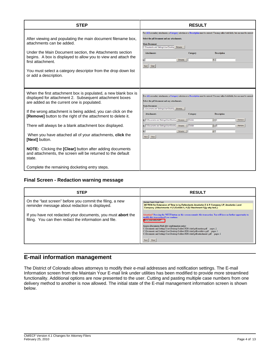| <b>STEP</b>                                                                                                                                                                                                                                                                                                                                                                                                                                                                                                                                                                                                       | <b>RESULT</b>                                                                                                                                                                                                                                                                                                                                                                                                                                                                                                                      |
|-------------------------------------------------------------------------------------------------------------------------------------------------------------------------------------------------------------------------------------------------------------------------------------------------------------------------------------------------------------------------------------------------------------------------------------------------------------------------------------------------------------------------------------------------------------------------------------------------------------------|------------------------------------------------------------------------------------------------------------------------------------------------------------------------------------------------------------------------------------------------------------------------------------------------------------------------------------------------------------------------------------------------------------------------------------------------------------------------------------------------------------------------------------|
| After viewing and populating the main document filename box,<br>attachments can be added.<br>Under the Main Document section, the Attachments section<br>begins. A box is displayed to allow you to view and attach the<br>first attachment.<br>You must select a category descriptor from the drop down list<br>or add a description.                                                                                                                                                                                                                                                                            | For ALL secondary attachments, a Category selection or a Description must be entered. You may utilize both fields, but one must be entered<br>Select the pdf document and any attachments.<br><b>Main Document</b><br>C:\Documents and Settings\User\Desktop Browse<br><b>Attachments</b><br><b>Description</b><br>Category<br>$\blacktriangledown$<br>Browse.<br>1.<br>Clear<br>Next                                                                                                                                              |
| When the first attachment box is populated, a new blank box is<br>displayed for attachment 2. Subsequent attachment boxes<br>are added as the current one is populated.<br>If the wrong attachment is being added, you can click on the<br><b>[Remove]</b> button to the right of the attachment to delete it.<br>There will always be a blank attachment box displayed.<br>When you have attached all of your attachments, <b>click</b> the<br>[Next] button.<br><b>NOTE:</b> Clicking the <b>[Clear]</b> button after adding documents<br>and attachments, the screen will be returned to the default<br>state. | For ALLsecondary attachments, a Category selection or a Description must be entered. You may utilize both fields, but one must be entered.<br>Select the pdf document and any attachments.<br><b>Main Document</b><br>C:\Documents and Settings\User\Desktop Browse<br><b>Attachments</b><br><b>Description</b><br>Category<br>1. C:\Documents and Settings\User\Desktor Browse.<br>Exhibit<br>$-$ A<br>Remove<br>回回<br>2. C:\Documents and Settings\User\Desktor Browse.<br>Exhibit<br>Remove<br>≖<br>Browse.<br>b.<br>Next Clear |
| Complete the remaining docketing entry steps.                                                                                                                                                                                                                                                                                                                                                                                                                                                                                                                                                                     |                                                                                                                                                                                                                                                                                                                                                                                                                                                                                                                                    |

### **Final Screen - Redaction warning message**

| <b>STEP</b>                                                                                                                 | <b>RESULT</b>                                                                                                                                                                                                                                                                                                                            |
|-----------------------------------------------------------------------------------------------------------------------------|------------------------------------------------------------------------------------------------------------------------------------------------------------------------------------------------------------------------------------------------------------------------------------------------------------------------------------------|
| On the "last screen" before you commit the filing, a new<br>reminder message about redaction is displayed.                  | <b>Docket Text: Final Text</b><br>MOTION for Extension of Time to by Defendants Anadarko E & P Company LP, Anadarko Land<br>Company. (Attachments: # (1) Exhibit A, # (2) Attachment 1)(jy-atty-test,)                                                                                                                                   |
| If you have not redacted your documents, you must <b>abort</b> the<br>filing. You can then redact the information and file. | Attention!! Pressing the NEXT button on this screen commits this transaction. You will have no further opportunity to<br>odify this transaction if you continue.<br>lave you redacted?                                                                                                                                                   |
|                                                                                                                             | Source Document Path (for confirmation only):<br>C:\Documents and Settings\User\Desktop\Folders\PDFs\shell pdfs\motion.pdf pages: 2<br>C:\Documents and Settings\User\Desktop\Folders\PDFs\shell pdfs\exhibit-a.pdf pages: 1<br>C:\Documents and Settings\User\Desktop\Folders\PDFs\shell pdfs\attachment1.pdf pages: 1<br>Clear<br>Next |

## **E-mail information management**

The District of Colorado allows attorneys to modify their e-mail addresses and notification settings. The E-mail Information screen from the Maintain Your E-mail link under utilities has been modified to provide more streamlined functionality. Additional options are now presented to the user. Cutting and pasting multiple case numbers from one delivery method to another is now allowed. The initial state of the E-mail management information screen is shown below.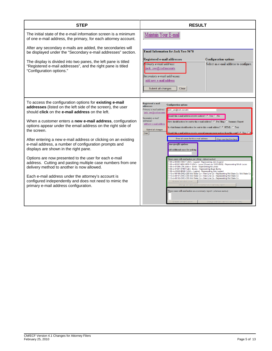| The initial state of the e-mail information screen is a minimum                                                                                                                                                                                                                                                                                                                                                                                                                                                                                                                                                                                                                                                                                                                                                            |                                                                                                                                                                                                                                                                                                                                                                                                                                                                                                                                                                                                                                                                                                                                                                                                                                                                                                                                                                                                                                                                                                                                                                                                                                                                                                                                                                                                                                                                                                                                                                                                                          |
|----------------------------------------------------------------------------------------------------------------------------------------------------------------------------------------------------------------------------------------------------------------------------------------------------------------------------------------------------------------------------------------------------------------------------------------------------------------------------------------------------------------------------------------------------------------------------------------------------------------------------------------------------------------------------------------------------------------------------------------------------------------------------------------------------------------------------|--------------------------------------------------------------------------------------------------------------------------------------------------------------------------------------------------------------------------------------------------------------------------------------------------------------------------------------------------------------------------------------------------------------------------------------------------------------------------------------------------------------------------------------------------------------------------------------------------------------------------------------------------------------------------------------------------------------------------------------------------------------------------------------------------------------------------------------------------------------------------------------------------------------------------------------------------------------------------------------------------------------------------------------------------------------------------------------------------------------------------------------------------------------------------------------------------------------------------------------------------------------------------------------------------------------------------------------------------------------------------------------------------------------------------------------------------------------------------------------------------------------------------------------------------------------------------------------------------------------------------|
| of one e-mail address, the primary, for each attorney account.                                                                                                                                                                                                                                                                                                                                                                                                                                                                                                                                                                                                                                                                                                                                                             | Maintain Your E-mai                                                                                                                                                                                                                                                                                                                                                                                                                                                                                                                                                                                                                                                                                                                                                                                                                                                                                                                                                                                                                                                                                                                                                                                                                                                                                                                                                                                                                                                                                                                                                                                                      |
| After any secondary e-mails are added, the secondaries will<br>be displayed under the "Secondary e-mail addresses" section.<br>The display is divided into two panes, the left pane is titled<br>"Registered e-mail addresses", and the right pane is titled<br>"Configuration options."                                                                                                                                                                                                                                                                                                                                                                                                                                                                                                                                   | <b>Email Information for Jack Yee-5678</b><br>Registered e-mail addresses<br><b>Configuration options</b><br>rimary e-mail address:<br>Select an e-mail address to configure.<br>jack yee@cod.uscourts<br>Secondary e-mail addresses:<br>add new e-mail address<br>Submit all changes<br>Clear                                                                                                                                                                                                                                                                                                                                                                                                                                                                                                                                                                                                                                                                                                                                                                                                                                                                                                                                                                                                                                                                                                                                                                                                                                                                                                                           |
| To access the configuration options for existing e-mail<br>addresses (listed on the left side of the screen), the user<br>should click on the e-mail address on the left.<br>When a customer enters a new e-mail address, configuration<br>options appear under the email address on the right side of<br>the screen.<br>After entering a new e-mail address or clicking on an existing<br>e-mail address, a number of configuration prompts and<br>displays are shown in the right pane.<br>Options are now presented to the user for each e-mail<br>address. Cutting and pasting multiple case numbers from one<br>delivery method to another is now allowed.<br>Each e-mail address under the attorney's account is<br>configured independently and does not need to mimic the<br>primary e-mail address configuration. | Registered e-mail<br><b>Configuration options</b><br>addresses<br>Primary e-mail address:<br>jack yee@cod.uscourts<br>jack yee@cod.uscourts<br>should this e-mail address receive notices? @ Yes @ No<br>Secondary e-mail<br>addresses:<br>How should notices be sent to this e-mail address? C Per Filing C Summary Report<br>add new e-mail address<br>In what format should notices be sent to this e-mail address? C HTML C Text<br>Submit all changes<br>Should this e-mail address receive general announcement notices from this court? $\circ$ Yes<br>Clear<br>Show all cases for this e-mail address<br>(Copy case lists from here)<br>ase-specific options<br>dd additional cases for noticing<br>These cases will send notice per filing. (default method)<br>1:09-cr-00500-CMA-1 USA v. Legend - Representing John Legend<br>1:09-cr-00507-MSK-MEH-1 USA v. Lucas (Closed on 12/23/2009) - Representing Mitch Lucas<br>1:09-cv-01000-LTB Jones v. Smith - Representing Ed Jones<br>1:09-cv-01001-RPM Fudd v. Bunny - Representing Bugs Bunny<br>1:09-mj-00500-BNB-1 USA v. Legend - Representing John Legend<br>1:10-cv-00100-DME-CBS Mid State Co v. New Line Co - Representing Mid State Co, Mid State Co<br>1:10-cv-00101-DME-CBS Mid State Co v. New Line Co - Representing Mid State Co<br>1:10-cv-00102-DME-CBS Mid State Co v. New Line Co - Representing Mid State Co<br>Remove selected cases<br>Change selected cases to notice as a summary report<br>These cases will send notice as a summary report. (alternate method)<br>Remove selected cases<br>Change selected cases to notice per filing |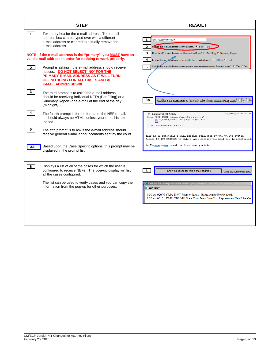|              | <b>STEP</b>                                                                                                                                                                                                 | <b>RESULT</b>                                                                                                                                                                                                                                      |
|--------------|-------------------------------------------------------------------------------------------------------------------------------------------------------------------------------------------------------------|----------------------------------------------------------------------------------------------------------------------------------------------------------------------------------------------------------------------------------------------------|
| $\mathbf{1}$ | Text entry box for the e-mail address. The e-mail<br>address box can be typed over with a different<br>e-mail address or cleared to actually remove the<br>e-mail address.                                  | jack yee@cod.uscourts<br>1<br>$\overline{2}$<br>Sould this e-mail address receive notices? C Yes C No                                                                                                                                              |
|              | NOTE: If the e-mail address is the "primary", you MUST have an<br>valid e-mail address in order for noticing to work properly.                                                                              | $\mathbf{3}$<br>How should notices be sent to this e-mail address? @ Per Filing @ Summary Report<br>In what format should notices be sent to this e-mail address? @ HTML C Text<br>$\overline{\mathbf{4}}$                                         |
| $\boxed{2}$  | Prompt is asking if the e-mail address should receive<br>notices. DO NOT SELECT 'NO' FOR THE<br>PRIMARY E-MAIL ADDRESS AS IT WILL TURN<br>OFF NOTICING FOR ALL CASES AND ALL<br><b>E-MAIL ADDRESSES!!!!</b> | Should this e-mail address receive general announcement notices from this court? C Yes O No<br>5                                                                                                                                                   |
| 3            | The third prompt is to ask if the e-mail address<br>should be receiving individual NEFs (Per Filing) or a<br>Summary Report (one e-mail at the end of the day<br>(midnight).                                | Should this e-mail address receive a "no activity" notice when no summary noticing occurs? C Yes C No<br>3Α                                                                                                                                        |
| 4            | The fourth prompt is for the format of the NEF e-mail.<br>It should always be HTML, unless your e-mail is text<br>based.                                                                                    | Friday, February 19, 2010 12:00 AM<br><b>Summary of ECF Activity</b><br>From: "COD_CMECF_cod.uscourts.gov@example.com"<br>gCOD_CMECF_cod.uscourts.gov@example.com><br>To: COD_NEF@cod.uscourts.gov                                                 |
| 5            | The fifth prompt is to ask if the e-mail address should<br>receive general e-mail announcements sent by the court.                                                                                          | This is an automatic e-mail message generated by the CM/ECF system.<br>Please DO NOT RESPOND to this e-mail because the mail box is unattended.                                                                                                    |
| 3A           | Based upon the Case Specific options, this prompt may be<br>displayed in the prompt list.                                                                                                                   | No Transactions found for this time period.                                                                                                                                                                                                        |
| $6-1$        | Displays a list of all of the cases for which the user is<br>configured to receive NEFs. The pop-up display will list<br>all the cases configured.                                                          | 6<br>Show all cases for this e-mail address<br>(Copy case lists from here)                                                                                                                                                                         |
|              | The list can be used to verify cases and you can copy the<br>information from the pop-up for other purposes.                                                                                                | Case list for jy-atty-test email address jack_yee@cod.uscourts.gov - Windo<br>$e$ about: blank<br>1:09-cv-02005-CMA-KMT Smith v. Jones - Representing Emmitt Smith<br>1:10-cv-00101-DME-CBS Mid State Co v. New Line Co - Representing New Line Co |
|              |                                                                                                                                                                                                             |                                                                                                                                                                                                                                                    |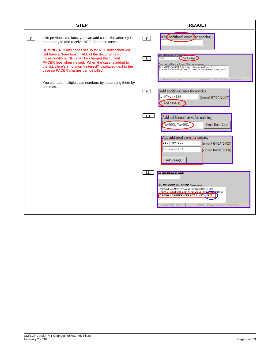|                | <b>STEP</b>                                                                                                                                                                                                                                                                                                                                                                                                                                              |                     | <b>RESULT</b>                                                                                                                                                                                                                                                                                                                                                                                         |
|----------------|----------------------------------------------------------------------------------------------------------------------------------------------------------------------------------------------------------------------------------------------------------------------------------------------------------------------------------------------------------------------------------------------------------------------------------------------------------|---------------------|-------------------------------------------------------------------------------------------------------------------------------------------------------------------------------------------------------------------------------------------------------------------------------------------------------------------------------------------------------------------------------------------------------|
| $\overline{7}$ | Like previous versions, you can add cases the attorney is<br>not a party to and receive NEFs for those cases.<br><b>REMINDER!!!</b> Any cases set up for NEF notification will<br>not have a "Free look." ALL of the documents from<br>these additional NEFs will be charged the current<br>PACER fees when viewed. When the case is added to<br>the list, there's a notation "(interest)" displayed next to the<br>case so PACER charges can be billed. | $\overline{7}$<br>8 | Add additional cases for noticing<br><b>To to Both the Artist State Lines Extra Constitution of the Artist</b><br>Find This Case<br>cy899<br>These cases will send notice per filing. (default method)<br>1:09-cv-02005-CMA-KMT Smith v. Jones - Representing Emmitt Smith<br>1:10-cv-00101-DME-CBS Mid State Co v. New Line Co - Representing New Line Co                                            |
|                | You can add multiple case numbers by separating them by<br>commas.                                                                                                                                                                                                                                                                                                                                                                                       | $\overline{9}$      | Remove selected cases<br>Change selected cases to notice as a summary report<br>Add additional cases for noticing<br>$1:07-cv-899$<br>(closed 07/17/2007)<br>Add case(s)                                                                                                                                                                                                                              |
|                |                                                                                                                                                                                                                                                                                                                                                                                                                                                          | 10                  | Add additional cases for noticing<br><b>Find This Case</b><br>7cv900, 7cv901<br>Add additional cases for noticing<br>$1:07-cv-900$<br>closed 04/25/2008)<br>$1:07-cv-901$<br>closed 04/08/2008)<br>Add case(s)                                                                                                                                                                                        |
|                |                                                                                                                                                                                                                                                                                                                                                                                                                                                          | 11                  | too additional cases for noticing<br>hese cases will send notice per filing. (default method)<br>1:09-cv-02005-CMA-KMT Smith v. Jones - Representing Emmitt Smith<br>1:10-cv-00101-DME-CBS Mid State Co v. New Line Co - Representing New Line Co<br>07-cv-00899-RPM Woodland v. Theng (closed 07/17/2007) (interest)<br>Remove selected cases<br>Change selected cases to notice as a summary report |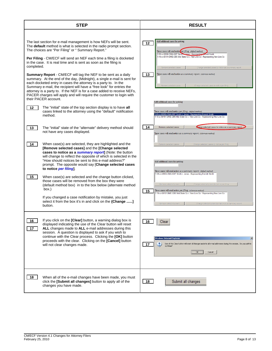| <b>STEP</b>                                                                                                                                                                                                                                                                                                                                                                                                                                                                                                                                                                                                                                                                                                                                                                                                                                                                                                                                                                                                                                                                                                                                                                                                                                                                                                                                                                                                                                                                                                                                                                                                                                                                                                                                                                                                                                                                                                                                                                                                                                                                                                                                                                                                                                                                      | <b>RESULT</b>                                                                                                                                                                                                                                                                                                                                                                                                                                                                                                                                                                                                                                                                                                                                                                                                                                                                                                                                                                                                                                                                                                                                                                                                                                                                                                                                                                                                                                                                                                                                                                                                                                                                                                               |
|----------------------------------------------------------------------------------------------------------------------------------------------------------------------------------------------------------------------------------------------------------------------------------------------------------------------------------------------------------------------------------------------------------------------------------------------------------------------------------------------------------------------------------------------------------------------------------------------------------------------------------------------------------------------------------------------------------------------------------------------------------------------------------------------------------------------------------------------------------------------------------------------------------------------------------------------------------------------------------------------------------------------------------------------------------------------------------------------------------------------------------------------------------------------------------------------------------------------------------------------------------------------------------------------------------------------------------------------------------------------------------------------------------------------------------------------------------------------------------------------------------------------------------------------------------------------------------------------------------------------------------------------------------------------------------------------------------------------------------------------------------------------------------------------------------------------------------------------------------------------------------------------------------------------------------------------------------------------------------------------------------------------------------------------------------------------------------------------------------------------------------------------------------------------------------------------------------------------------------------------------------------------------------|-----------------------------------------------------------------------------------------------------------------------------------------------------------------------------------------------------------------------------------------------------------------------------------------------------------------------------------------------------------------------------------------------------------------------------------------------------------------------------------------------------------------------------------------------------------------------------------------------------------------------------------------------------------------------------------------------------------------------------------------------------------------------------------------------------------------------------------------------------------------------------------------------------------------------------------------------------------------------------------------------------------------------------------------------------------------------------------------------------------------------------------------------------------------------------------------------------------------------------------------------------------------------------------------------------------------------------------------------------------------------------------------------------------------------------------------------------------------------------------------------------------------------------------------------------------------------------------------------------------------------------------------------------------------------------------------------------------------------------|
| The last section for e-mail management is how NEFs will be sent.<br>The <b>default</b> method is what is selected in the radio prompt section.<br>The choices are "Per Filing" or "Summary Report."<br><b>Per Filing</b> - CM/ECF will send an NEF each time a filing is docketed<br>in the case. It is real time and is sent as soon as the filing is<br>completed.<br><b>Summary Report</b> - CM/ECF will tag the NEF to be sent as a daily<br>summary. At the end of the day, (Midnight), a single e-mail is sent for<br>each docketed entry in cases the attorney is a party to. In the<br>Summary e-mail, the recipient will have a "free look" for entries the<br>attorney is a party to. If the NEF is for a case added to receive NEFs,<br>PACER charges will apply and will require the customer to login with<br>their PACER account.<br>The "initial" state of the top section display is to have all<br>12<br>cases linked to the attorney using the "default" notification<br>method.<br>The "initial" state of the "alternate" delivery method should<br>13<br>not have any cases displayed.<br>When case(s) are selected, they are highlighted and the<br>14<br>[Remove selected cases] and the [Change selected<br>cases to notice as a <b>summary report</b> (Note: the button<br>will change to reflect the opposite of which is selected in the<br>"How should notices be sent to this e-mail address?"<br>prompt. The opposite would say [Change selected cases<br>to notice per filing.<br>15<br>When case(s) are selected and the change button clicked,<br>those cases will be removed from the box they were<br>(default method box) in to the box below (alternate method<br>box.)<br>If you changed a case notification by mistake, you just<br>select it from the box it's in and click on the {Change ]<br>button.<br>If you click on the [Clear] button, a warning dialog box is<br>16<br>displayed indicating the use of the Clear button will reset<br>ALL changes made to ALL e-mail addresses during this<br>17 <sup>2</sup><br>session. A question is displayed to ask if you wish to<br>continue with the Clear process. Clicking the [OK] button<br>proceeds with the clear. Clicking on the [Cancel] button<br>will not clear changes made. | Add additional cases for noticing<br>12<br>These cases will send notice per filing. (default method)<br>1:09-cv-02005-CMA-KMT Smith > Jones - Representing En<br>imitt Smith<br>:10-cv-00101-DME-CBS Mid State Co v. New Line Co - Representing New Line Co<br>Remove selected cases<br>Change selected cases to notice as a summary report<br>These cases will send notice as a summary report. (alternate method)<br>13<br>Remove selected cases<br>Change selected cases to notice per filing<br>Add additional cases for noticing<br>These cases will send notice per filing. (default method)<br>1:09-cv-02005-CMA-KMT Smith v. Jones - Representing Emmitt Smith<br>1:10-cv-00101-DME-CBS Mid State Co v. New Line Co - Representing New Line Co<br>14<br>Remove selected cases<br>Change selected cases to notice as a summary report<br>These cases will send notice as a summary report. (alternate method)<br>Remove selected cases<br>Change selected cases to notice per filing<br>Add additional cases for noticing<br>These cases will send notice as a summary report. (default method)<br>1:09-cv-02005-CMA-KMT Smith v. Jones - Representing Emmitt Smith<br>Remove selected case:<br>Change selected cases to notice per filing<br>These cases will send notice per filing. (alternate method)<br>15<br>1:10-cv-00101-DME-CBS Mid State Co v. New Line Co - Representing New Line Co<br>Remove selected cases<br>Change selected cases to notice as a summary report<br>16<br>Clear<br><b>Windows Internet Explorer</b><br>$\mathbf{x}$<br>$\overline{\mathbf{?}}$<br>Use of this Clear button will reset all changes made to all e-mail addresses during this session. Do you wish to<br>17<br>continue? |
| 18<br>When all of the e-mail changes have been made, you must<br>click the [Submit all changes] button to apply all of the<br>changes you have made.                                                                                                                                                                                                                                                                                                                                                                                                                                                                                                                                                                                                                                                                                                                                                                                                                                                                                                                                                                                                                                                                                                                                                                                                                                                                                                                                                                                                                                                                                                                                                                                                                                                                                                                                                                                                                                                                                                                                                                                                                                                                                                                             | $\overline{\alpha}$<br>Cancel<br>18<br>Submit all changes                                                                                                                                                                                                                                                                                                                                                                                                                                                                                                                                                                                                                                                                                                                                                                                                                                                                                                                                                                                                                                                                                                                                                                                                                                                                                                                                                                                                                                                                                                                                                                                                                                                                   |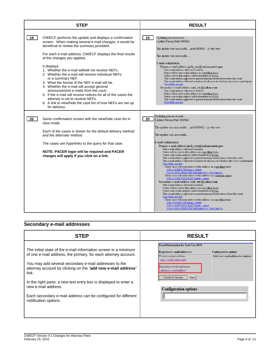|    | <b>STEP</b>                                                                                                                                                                                                                                                                                                                                                                                                                                                              | <b>RESULT</b>                                                                                                                                                                                                                                                                                                                                                                                                                                                                                                                                                                                                                                                                                                                                                                                                                                                                                                                                                                                                                                                                                                                                                                                                                                                                                                                                                                                                                   |
|----|--------------------------------------------------------------------------------------------------------------------------------------------------------------------------------------------------------------------------------------------------------------------------------------------------------------------------------------------------------------------------------------------------------------------------------------------------------------------------|---------------------------------------------------------------------------------------------------------------------------------------------------------------------------------------------------------------------------------------------------------------------------------------------------------------------------------------------------------------------------------------------------------------------------------------------------------------------------------------------------------------------------------------------------------------------------------------------------------------------------------------------------------------------------------------------------------------------------------------------------------------------------------------------------------------------------------------------------------------------------------------------------------------------------------------------------------------------------------------------------------------------------------------------------------------------------------------------------------------------------------------------------------------------------------------------------------------------------------------------------------------------------------------------------------------------------------------------------------------------------------------------------------------------------------|
| 19 | CM/ECF performs the update and displays a confirmation<br>screen. When making several e-mail changes, it would be<br>beneficial to review the summary provided.<br>For each e-mail address, CM/ECF displays the final results<br>of the changes you applied.                                                                                                                                                                                                             | 19<br>Updating person record<br>Update Person Prid: 868662<br>The update was successful prid 868662 - jy-atty-test<br>The update was successful                                                                                                                                                                                                                                                                                                                                                                                                                                                                                                                                                                                                                                                                                                                                                                                                                                                                                                                                                                                                                                                                                                                                                                                                                                                                                 |
|    | It displays:<br>1. Whether the e-mail will/will not receive NEFs.<br>2. Whether the e-mail will receive individual NEFs<br>or a summary NEF.<br>3. What the format of the NEF e-mail will be.<br>4. Whether the e-mail will accept general<br>announcement e-mails from the court.<br>5. If the e-mail will receive notices for all of the cases the<br>attorney is set to receive NEFs.<br>6. A link to view/hide the case list of how NEFs are set up<br>for delivery. | E-mail configuration:<br>Primary e-mail address: jack_yee@cod.uscourts.gov<br>This e-mail address will receive notices.<br>Notice will be sent to this address on a per filing basis.<br>Notice sent to this address will be formatted as HTML.<br>This e-mail address will receive general announcement notices from this court.<br>This e-mail address will receive notices for all cases in which jy-atty-test is a participant.<br>View/Hide case list<br>Secondary e-mail address: cod $aty@yahoo.com$<br>This e-mail address will receive notices.<br>Notice will be sent to this address on a per filing basis.<br>Notice sent to this address will be formatted as HTML.<br>This e-mail address will receive general announcement notices from this court.<br>View/Hide case list                                                                                                                                                                                                                                                                                                                                                                                                                                                                                                                                                                                                                                       |
| 20 | Same confirmation screen with the view/hide case list in<br>view mode.<br>Each of the cases is shown for the default delivery method<br>and the alternate method.<br>The cases are hyperlinks to the query for that case.<br>NOTE: PACER login will be required and PACER<br>charges will apply if you click on a link.                                                                                                                                                  | Updating person record<br>20<br>Update Person Prid: 868662<br>The update was successful prid 868662 - jy-atty-test<br>The update was successful<br>E-mail configuration:<br>Primary e-mail address: jack $yee@cod.uscourts.gov$<br>This e-mail address will receive notices.<br>Notice will be sent to this address on a per filing basis.<br>Notice sent to this address will be formatted as HTML.<br>This e-mail address will receive general announcement notices from this court.<br>This e-mail address will receive notices for all cases in which jy-atty-test is a participant<br>View/Hide case list<br>These cases will send notice to this address on a perfiling basis.<br>1:09-cv-01000-LTB Jones v. Smith<br>1:10-cv-00101-DME-CBS Mid State Co v. New Line Co<br>These cases will send notice to this address as a summary report.<br>1:09-cv-02005-CMA-KMT Smith v. Jones<br>Secondary e-mail address: cod aty@yahoo.com<br>This e-mail address will receive notices.<br>Notice will be sent to this address on a per filing basis.<br>Notice sent to this address will be formatted as HTML.<br>This e-mail address will receive general announcement notices from this court.<br>View/Hide case list<br>These cases will send notice to this address on a per filing basis.<br>1:09-cv-01000-LTB Jones v. Smith<br>1:09-cv-02005-CMA-KMT Smith v. Jones<br>1:10-cv-00101-DME-CBS Mid State Co v. New Line Co |

## **Secondary e-mail addresses**

| STEP                                                                                                                                                                                                                                                                                                                                                                                                                                                    | <b>RESULT</b>                                                                                                                                                                                                                                                                                                                   |
|---------------------------------------------------------------------------------------------------------------------------------------------------------------------------------------------------------------------------------------------------------------------------------------------------------------------------------------------------------------------------------------------------------------------------------------------------------|---------------------------------------------------------------------------------------------------------------------------------------------------------------------------------------------------------------------------------------------------------------------------------------------------------------------------------|
| The initial state of the e-mail information screen is a minimum<br>of one e-mail address, the primary, for each attorney account.<br>You may add several secondary e-mail addresses to the<br>attorney account by clicking on the "add new e-mail address"<br>link.<br>In the right pane, a new text entry box is displayed to enter a<br>new e-mail address.<br>Each secondary e-mail address can be configured for different<br>notification options. | <b>Email Information for Jack Yee-5678</b><br>Registered e-mail addresses<br><b>Configuration options</b><br>Primary e-mail address:<br>Select an e-mail address to configure.<br>jack yee@cod.uscourts<br>Secondary e-mail addresses:<br>add new e-mail address<br>Submit all changes<br>Clear<br><b>Configuration options</b> |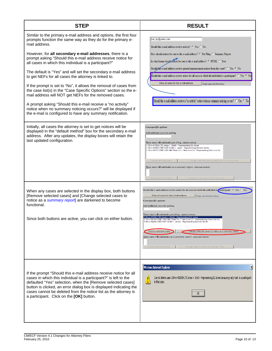| <b>STEP</b>                                                                                                                                                                                                                                                                                                                                                                                                                                                                                                                                                                                                                                                                                                                                                                                                                                                      | <b>RESULT</b>                                                                                                                                                                                                                                                                                                                                                                                                                                                                                                                                                                                                                                                                                                                                                      |
|------------------------------------------------------------------------------------------------------------------------------------------------------------------------------------------------------------------------------------------------------------------------------------------------------------------------------------------------------------------------------------------------------------------------------------------------------------------------------------------------------------------------------------------------------------------------------------------------------------------------------------------------------------------------------------------------------------------------------------------------------------------------------------------------------------------------------------------------------------------|--------------------------------------------------------------------------------------------------------------------------------------------------------------------------------------------------------------------------------------------------------------------------------------------------------------------------------------------------------------------------------------------------------------------------------------------------------------------------------------------------------------------------------------------------------------------------------------------------------------------------------------------------------------------------------------------------------------------------------------------------------------------|
| Similar to the primary e-mail address and options, the first four<br>prompts function the same way as they do for the primary e-<br>mail address.<br>However, for all secondary e-mail addresses, there is a<br>prompt asking "Should this e-mail address receive notice for<br>all cases in which this individual is a participant?"<br>The default is "Yes" and will set the secondary e-mail address<br>to get NEFs for all cases the attorney is linked to.<br>If the prompt is set to "No", it allows the removal of cases from<br>the case list(s) in the "Case Specific Options" section so the e-<br>mail address will NOT get NEFs for the removed cases.<br>A prompt asking "Should this e-mail receive a "no activity"<br>notice when no summary noticing occurs?" will be displayed if<br>the e-mail is configured to have any summary notification. | cod_aty@yahoo.com<br>Should this e-mail address receive notices? C Yes O No<br>How should notices be sent to this e-mail address? @ Per Filing @ Summary Report<br>In what format should nonces be sent to this e-mail address? C HTML O Text<br>Should this e-mail address receive general announcement notices from this court? C Yes C No<br>hould this e-mail address receive notice for all cases in which this individual is a participant? $\degree$ Yes $\degree$ No<br>Show all cases for this e-mail address<br>(Copy case lists from here)<br>Should this e-mail address receive a "no activity" notice when no summary noticing occurs? $\heartsuit$ Yes $\heartsuit$ No                                                                               |
| Initially, all cases the attorney is set to get notices will be<br>displayed in the "default method" box for the secondary e-mail<br>address. After any updates, the display boxes will retain the<br>last updated configuration.                                                                                                                                                                                                                                                                                                                                                                                                                                                                                                                                                                                                                                | Case-specific options<br>Add additional cases for noticing<br>These cases will send notice per filing. (default method)<br>1:09-cv-01000-LTB Jones v. Smith - Representing Ed Jones<br>1:09-cv-02005-CMA-KMT Smith v. Jones - Representing Emmitt Smith<br>1:10-cv-00101-DME-CBS Mid State Co v. New Line Co - Representing New Line Co<br>Remove selected cases<br>Change selected cases to notice as a summary report<br>These cases will send notice as a summary report. (alternate method)<br>Remove selected cases<br>Change selected cases to notice per filing                                                                                                                                                                                             |
| When any cases are selected in the display box, both buttons<br>[Remove selected cases] and [Change selected cases to<br>notice as a summary report] are darkened to become<br>functional.<br>Since both buttons are active, you can click on either button.                                                                                                                                                                                                                                                                                                                                                                                                                                                                                                                                                                                                     | Should this e-mail address receive notice for all cases in which this individual is a participant? $G$ Yes $\cap$ No<br>Show all cases for this e-mail address<br>(Copy case lists from here)<br>Case-specific options<br>Add additional cases for noticing<br>These cases will send notice per filing. (default method)<br>1:09-cv-01000-LTB Jones v. Smith - Representing Ed.<br>: 10-cv-00101-DME-CBS Mid State Co v. New Line Co - Representing New Line Co<br>1:09-cv-02005-CMA-KMT Smith v. Jones - Representing Emmitt Smith<br>Remove selected cases<br>Change selected cases to notice as a summary report<br>These cases will send notice as a summary report. (alternate method)<br>Remove selected cases<br>Change selected cases to notice per filing |
| If the prompt "Should this e-mail address receive notice for all<br>cases in which this individual is a participant?" is left to the<br>defaulted "Yes" selection, when the [Remove selected cases]<br>button is clicked, an error dialog box is displayed indicating the<br>cases cannot be deleted from the notice list as the attorney is<br>a participant. Click on the [OK] button.                                                                                                                                                                                                                                                                                                                                                                                                                                                                         | X<br><b>Windows Internet Explorer</b><br>Cannot delete case 1:09-cv-01000-LTB Jones v. Smith - Representing Ed Jones because jy-atty-test is a participant<br>in that case.                                                                                                                                                                                                                                                                                                                                                                                                                                                                                                                                                                                        |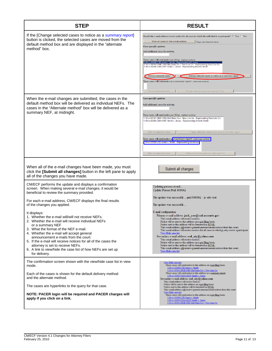| <b>STEP</b>                                                                                                                                                                                                                                                                                                                                                                                                                                                                                                                                                                                                                                                                                                                 | <b>RESULT</b>                                                                                                                                                                                                                                                                                                                                                                                                                                                                                                                                                                                                                                                                                                                                                                                                                                                                                                                      |
|-----------------------------------------------------------------------------------------------------------------------------------------------------------------------------------------------------------------------------------------------------------------------------------------------------------------------------------------------------------------------------------------------------------------------------------------------------------------------------------------------------------------------------------------------------------------------------------------------------------------------------------------------------------------------------------------------------------------------------|------------------------------------------------------------------------------------------------------------------------------------------------------------------------------------------------------------------------------------------------------------------------------------------------------------------------------------------------------------------------------------------------------------------------------------------------------------------------------------------------------------------------------------------------------------------------------------------------------------------------------------------------------------------------------------------------------------------------------------------------------------------------------------------------------------------------------------------------------------------------------------------------------------------------------------|
| If the [Change selected cases to notice as a summary report]<br>button is clicked, the selected cases are moved from the<br>default method box and are displayed in the "alternate<br>method" box.                                                                                                                                                                                                                                                                                                                                                                                                                                                                                                                          | Should this e-mail address receive notice for all cases in which this individual is a participant? $\subseteq$ Yes $\subseteq$ No<br>Show all cases for this e-mail address<br>(Copy case lists from here)<br><b>Case-specific options</b><br>Add additional cases for noticing<br>These cases will send notice per filing. (default method)<br>1:09-cv-01000-LTB Jones v. Smith - Representing Ed Jone<br>1:10-cv-00101-DME-CBS Mid State Co.v. New Line Co - Representing New Line Co.<br>1:09-cv-02005-CMA-KMT Smith v. Jones - Representing Emmitt Smith<br>Remove selected cases<br>Change selected cases to notice as a summary report<br>These cases will send notice as a summary report. (alternate method)<br>Remove selected cases<br>Change selected cases to notice per filing                                                                                                                                        |
| When the e-mail changes are submitted, the cases in the<br>default method box will be delivered as individual NEFs. The<br>cases in the "Alternate method" box will be delivered as a<br>summary NEF, at midnight.                                                                                                                                                                                                                                                                                                                                                                                                                                                                                                          | Case-specific options<br>Add additional cases for noticing<br>These cases will send notice per filing. (default method)<br>1:10-cv-00101-DME-CBS Mid State Co v. New Line Co - Representing New Line Co<br>1:09-cv-02005-CMA-KMT Smith v. Jones - Representing Emmitt Smith<br>Remove selected cases<br>Change selected cases to notice as a summary report<br>These cases will send notice $a \cdot a$ a summary report. (alternate method)<br>:09-cv-01000-LTB Jones v. Smith - Representing Ed Jones<br>Change selected cases to notice per filing<br>Remove selected cases                                                                                                                                                                                                                                                                                                                                                     |
| When all of the e-mail changes have been made, you must<br>click the [Submit all changes] button in the left pane to apply<br>all of the changes you have made.                                                                                                                                                                                                                                                                                                                                                                                                                                                                                                                                                             | Submit all changes                                                                                                                                                                                                                                                                                                                                                                                                                                                                                                                                                                                                                                                                                                                                                                                                                                                                                                                 |
| CM/ECF performs the update and displays a confirmation<br>screen. When making several e-mail changes, it would be<br>beneficial to review the summary provided.<br>For each e-mail address, CM/ECF displays the final results<br>of the changes you applied.<br>It displays:<br>Whether the e-mail will/will not receive NEFs<br>2. Whether the e-mail will receive individual NEFs<br>or a summary NEF<br>3. What the format of the NEF e-mail.<br>4. Whether the e-mail will accept general<br>announcement e-mails from the court.<br>5. If the e-mail will receive notices for all of the cases the<br>attorney is set to receive NEFs.<br>6. A link to view/hide the case list of how NEFs are set up<br>for delivery. | Updating person record<br>Update Person Prid: 868662<br>The update was successful prid 868662 - jy-atty-test<br>The update was successful<br>E-mail configuration:<br>Primary e-mail address: jack yee@cod.uscourts.gov<br>This e-mail address will receive notices.<br>Notice will be sent to this address on a perfiling basis.<br>Notice sent to this address will be formatted as HTML.<br>This e-mail address will receive general announcement notices from this court.<br>This e-mail address will receive notices for all cases in which jy-atty-test is a participant.<br>View/Hide case list<br>Secondary e-mail address: cod_aty@yahoo.com<br>This e-mail address will receive notices.<br>Notice will be sent to this address on a perfiling basis.<br>Notice sent to this address will be formatted as HTML.<br>This e-mail address will receive general announcement notices from this court.<br>View/Hide case list |
| The confirmation screen shown with the view/hide case list in view<br>mode.<br>Each of the cases is shown for the default delivery method<br>and the alternate method.<br>The cases are hyperlinks to the query for that case.<br>NOTE: PACER login will be required and PACER charges will<br>apply if you click on a link.                                                                                                                                                                                                                                                                                                                                                                                                | View/Hide case list<br>These cases will send notice to this address on a per filing basis.<br>1:09-cv-01000-LTB Jones v. Smith<br>1:10-ev-00101-DME-CBS Mid State Co v. New Line Co.<br>These cases will send notice to this address as a summary report.<br>1:09-ev-02005-CMA-KMT Smith v. Jones<br>Secondary e-mail address: cod_aty@yahoo.com<br>This e-mail address will receive notices.<br>Notice will be sent to this address on a per filing basis.<br>Notice sent to this address will be formatted as HTML<br>This e-mail address will receive general announcement notices from this court.<br>View/Hide case list<br>These cases will send notice to this address on a per filing basis.<br>1:09-cv-01000-LTB Jones v. Smith<br>$1.09$ cv-02005-CMA-KMT Smith v. Jones<br>$1.10$ cv-00101-DME-CBS Mid State Co v. New Line Co                                                                                          |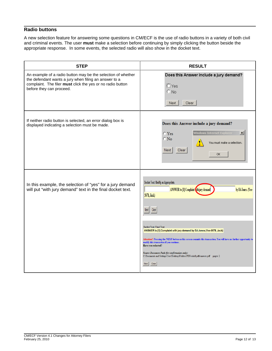## **Radio buttons**

A new selection feature for answering some questions in CM/ECF is the use of radio buttons in a variety of both civil and criminal events. The user **must** make a selection before continuing by simply clicking the button beside the appropriate response. In some events, the selected radio will also show in the docket text.

| <b>STEP</b>                                                                                                                                                                                                     | <b>RESULT</b>                                                                                                                                                                                                                                                                                                                                                                                                                                                                                                                                                                                        |
|-----------------------------------------------------------------------------------------------------------------------------------------------------------------------------------------------------------------|------------------------------------------------------------------------------------------------------------------------------------------------------------------------------------------------------------------------------------------------------------------------------------------------------------------------------------------------------------------------------------------------------------------------------------------------------------------------------------------------------------------------------------------------------------------------------------------------------|
| An example of a radio button may be the selection of whether<br>the defendant wants a jury when filing an answer to a<br>complaint. The filer must click the yes or no radio button<br>before they can proceed. | Does this Answer include a jury demand?<br>$\Box$ Yes<br>$\odot$ No<br>Clear<br>Next                                                                                                                                                                                                                                                                                                                                                                                                                                                                                                                 |
| If neither radio button is selected, an error dialog box is<br>displayed indicating a selection must be made.                                                                                                   | Does this Answer include a jury demand?<br>$\vert x \vert$<br><b>Windows Internet Explorer</b><br>$C$ Yes<br>$\circ$ No<br>You must make a selection.<br>Clear<br>Next<br>OK.                                                                                                                                                                                                                                                                                                                                                                                                                        |
| In this example, the selection of "yes" for a jury demand<br>will put "with jury demand" text in the final docket text.                                                                                         | Docket Text: Modify as Appropriate.<br>by Ed Jones. (Yee-<br>ANSWER to [1] Complaint the jury demand<br>5678, Jack)<br>Clear<br>Next I<br><b>Docket Text: Final Text</b><br>ANSWER to [1] Complaint with jury demand by Ed Jones.(Yee-5678, Jack)<br>Attention!! Pressing the NEXT button on this screen commits this transaction. You will have no further opportunity to<br>modify this transaction if you continue.<br>Have you redacted?<br>Source Document Path (for confirmation only):<br>C:\Documents and Settings\User\Desktop\Folders\PDFs\shell pdfs\answer.pdf pages: 2<br>Clear<br>Next |